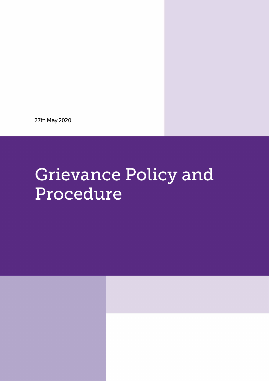27th May 2020

# **Grievance Policy and** Procedure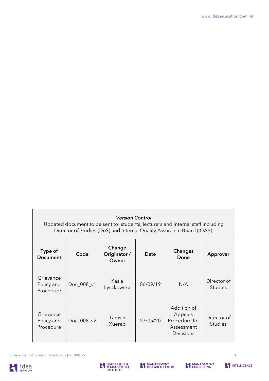#### *Version Control*

Updated document to be sent to: students, lecturers and internal staff including Director of Studies (DoS) and Internal Quality Assurance Board (IQAB).

| Type of<br><b>Document</b>           | Code       | Change<br>Originator /<br>Owner | <b>Date</b> | <b>Changes</b><br>Done                                             | Approver                      |
|--------------------------------------|------------|---------------------------------|-------------|--------------------------------------------------------------------|-------------------------------|
| Grievance<br>Policy and<br>Procedure | Doc_008_v1 | Kasia<br>Lyczkowska             | 06/09/19    | N/A                                                                | Director of<br><b>Studies</b> |
| Grievance<br>Policy and<br>Procedure | Doc_008_v2 | Tamsin<br>Xuereb                | 27/05/20    | Addition of<br>Appeals<br>Procedure for<br>Assessment<br>Decisions | Director of<br><b>Studies</b> |

Grievance Policy and Procedure \_Doc\_008\_v2





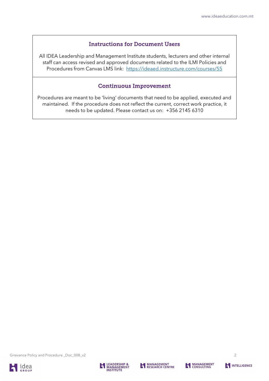### Instructions for Document Users

All IDEA Leadership and Management Institute students, lecturers and other internal staff can access revised and approved documents related to the ILMI Policies and Procedures from Canvas LMS link: <https://ideaed.instructure.com/courses/55>

#### Continuous Improvement

Procedures are meant to be 'living' documents that need to be applied, executed and maintained. If the procedure does not reflect the current, correct work practice, it needs to be updated. Please contact us on: +356 2145 6310

Grievance Policy and Procedure \_Doc\_008\_v2





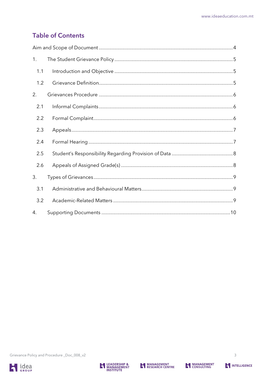## **Table of Contents**

| 1.  |  |  |
|-----|--|--|
| 1.1 |  |  |
| 1.2 |  |  |
| 2.  |  |  |
| 2.1 |  |  |
| 2.2 |  |  |
| 2.3 |  |  |
| 2.4 |  |  |
| 2.5 |  |  |
| 2.6 |  |  |
| 3.  |  |  |
| 3.1 |  |  |
| 3.2 |  |  |
| 4.  |  |  |





 $\overline{3}$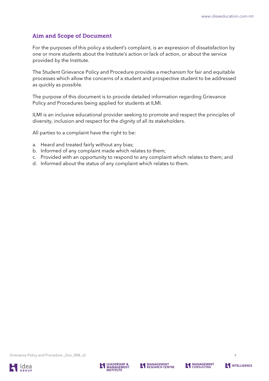## <span id="page-4-0"></span>Aim and Scope of Document

For the purposes of this policy a student's complaint, is an expression of dissatisfaction by one or more students about the Institute's action or lack of action, or about the service provided by the Institute.

The Student Grievance Policy and Procedure provides a mechanism for fair and equitable processes which allow the concerns of a student and prospective student to be addressed as quickly as possible.

The purpose of this document is to provide detailed information regarding Grievance Policy and Procedures being applied for students at ILMI.

ILMI is an inclusive educational provider seeking to promote and respect the principles of diversity, inclusion and respect for the dignity of all its stakeholders.

All parties to a complaint have the right to be:

- a. Heard and treated fairly without any bias;
- b. Informed of any complaint made which relates to them;
- c. Provided with an opportunity to respond to any complaint which relates to them; and
- d. Informed about the status of any complaint which relates to them.

Grievance Policy and Procedure \_Doc\_008\_v2





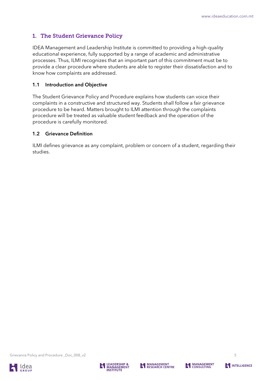## <span id="page-5-0"></span>1. The Student Grievance Policy

IDEA Management and Leadership Institute is committed to providing a high-quality educational experience, fully supported by a range of academic and administrative processes. Thus, ILMI recognizes that an important part of this commitment must be to provide a clear procedure where students are able to register their dissatisfaction and to know how complaints are addressed.

#### <span id="page-5-1"></span>1.1 Introduction and Objective

The Student Grievance Policy and Procedure explains how students can voice their complaints in a constructive and structured way. Students shall follow a fair grievance procedure to be heard. Matters brought to ILMI attention through the complaints procedure will be treated as valuable student feedback and the operation of the procedure is carefully monitored.

#### <span id="page-5-2"></span>1.2 Grievance Definition

ILMI defines grievance as any complaint, problem or concern of a student, regarding their studies.

Grievance Policy and Procedure \_Doc\_008\_v2





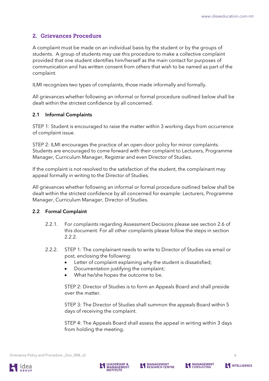## <span id="page-6-0"></span>2. Grievances Procedure

A complaint must be made on an individual basis by the student or by the groups of students. A group of students may use this procedure to make a collective complaint provided that one student identifies him/herself as the main contact for purposes of communication and has written consent from others that wish to be named as part of the complaint.

ILMI recognizes two types of complaints, those made informally and formally.

All grievances whether following an informal or formal procedure outlined below shall be dealt within the strictest confidence by all concerned.

#### <span id="page-6-1"></span>2.1 Informal Complaints

STEP 1: Student is encouraged to raise the matter within 3 working days from occurrence of complaint issue.

STEP 2: ILMI encourages the practice of an open-door policy for minor complaints. Students are encouraged to come forward with their complaint to Lecturers, Programme Manager, Curriculum Manager, Registrar and even Director of Studies.

If the complaint is not resolved to the satisfaction of the student, the complainant may appeal formally in writing to the Director of Studies.

All grievances whether following an informal or formal procedure outlined below shall be dealt within the strictest confidence by all concerned for example: Lecturers, Programme Manager, Curriculum Manager, Director of Studies.

#### <span id="page-6-2"></span>2.2 Formal Complaint

- 2.2.1. For complaints regarding Assessment Decisions please see section 2.6 of this document. For all other complaints please follow the steps in section 2.2.2.
- 2.2.2. STEP 1: The complainant needs to write to Director of Studies via email or post, enclosing the following:
	- Letter of complaint explaining why the student is dissatisfied;
	- Documentation justifying the complaint;
	- What he/she hopes the outcome to be.

STEP 2: Director of Studies is to form an Appeals Board and shall preside over the matter.

STEP 3: The Director of Studies shall summon the appeals Board within 5 days of receiving the complaint.

STEP 4: The Appeals Board shall assess the appeal in writing within 3 days from holding the meeting.





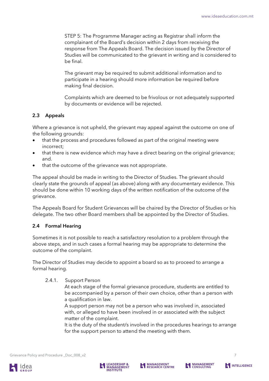STEP 5: The Programme Manager acting as Registrar shall inform the complainant of the Board's decision within 2 days from receiving the response from The Appeals Board. The decision issued by the Director of Studies will be communicated to the grievant in writing and is considered to be final.

The grievant may be required to submit additional information and to participate in a hearing should more information be required before making final decision.

Complaints which are deemed to be frivolous or not adequately supported by documents or evidence will be rejected.

#### <span id="page-7-0"></span>2.3 Appeals

Where a grievance is not upheld, the grievant may appeal against the outcome on one of the following grounds:

- that the process and procedures followed as part of the original meeting were incorrect;
- that there is new evidence which may have a direct bearing on the original grievance; and.
- that the outcome of the grievance was not appropriate.

The appeal should be made in writing to the Director of Studies. The grievant should clearly state the grounds of appeal (as above) along with any documentary evidence. This should be done within 10 working days of the written notification of the outcome of the grievance.

The Appeals Board for Student Grievances will be chaired by the Director of Studies or his delegate. The two other Board members shall be appointed by the Director of Studies.

#### <span id="page-7-1"></span>2.4 Formal Hearing

Sometimes it is not possible to reach a satisfactory resolution to a problem through the above steps, and in such cases a formal hearing may be appropriate to determine the outcome of the complaint.

The Director of Studies may decide to appoint a board so as to proceed to arrange a formal hearing.

#### 2.4.1. Support Person

At each stage of the formal grievance procedure, students are entitled to be accompanied by a person of their own choice, other than a person with a qualification in law.

A support person may not be a person who was involved in, associated with, or alleged to have been involved in or associated with the subject matter of the complaint.

It is the duty of the student/s involved in the procedures hearings to arrange for the support person to attend the meeting with them.





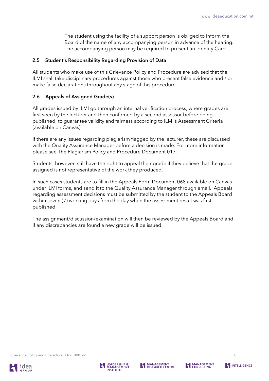The student using the facility of a support person is obliged to inform the Board of the name of any accompanying person in advance of the hearing. The accompanying person may be required to present an Identity Card.

#### <span id="page-8-0"></span>2.5 Student's Responsibility Regarding Provision of Data

All students who make use of this Grievance Policy and Procedure are advised that the ILMI shall take disciplinary procedures against those who present false evidence and / or make false declarations throughout any stage of this procedure.

#### <span id="page-8-1"></span>2.6 Appeals of Assigned Grade(s)

All grades issued by ILMI go through an internal verification process, where grades are first seen by the lecturer and then confirmed by a second assessor before being published, to guarantee validity and fairness according to ILMI's Assessment Criteria (available on Canvas).

If there are any issues regarding plagiarism flagged by the lecturer, these are discussed with the Quality Assurance Manager before a decision is made. For more information please see The Plagiarism Policy and Procedure Document 017.

Students, however, still have the right to appeal their grade if they believe that the grade assigned is not representative of the work they produced.

In such cases students are to fill in the Appeals Form Document 068 available on Canvas under ILMI forms, and send it to the Quality Assurance Manager through email. Appeals regarding assessment decisions must be submitted by the student to the Appeals Board within seven (7) working days from the day when the assessment result was first published.

The assignment/discussion/examination will then be reviewed by the Appeals Board and if any discrepancies are found a new grade will be issued.

Grievance Policy and Procedure \_Doc\_008\_v2





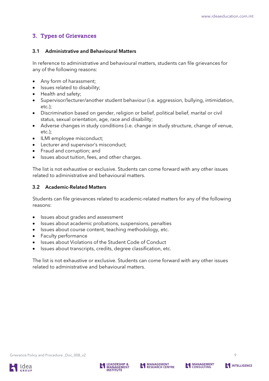## <span id="page-9-0"></span>3. Types of Grievances

#### <span id="page-9-1"></span>3.1 Administrative and Behavioural Matters

In reference to administrative and behavioural matters, students can file grievances for any of the following reasons:

- Any form of harassment;
- Issues related to disability;
- Health and safety;
- Supervisor/lecturer/another student behaviour (i.e. aggression, bullying, intimidation, etc.);
- Discrimination based on gender, religion or belief, political belief, marital or civil status, sexual orientation, age, race and disability;
- Adverse changes in study conditions (i.e. change in study structure, change of venue, etc.);
- ILMI employee misconduct;
- Lecturer and supervisor's misconduct;
- Fraud and corruption; and
- Issues about tuition, fees, and other charges.

The list is not exhaustive or exclusive. Students can come forward with any other issues related to administrative and behavioural matters.

#### <span id="page-9-2"></span>3.2 Academic-Related Matters

Students can file grievances related to academic-related matters for any of the following reasons:

- Issues about grades and assessment
- Issues about academic probations, suspensions, penalties
- Issues about course content, teaching methodology, etc.
- Faculty performance
- Issues about Violations of the Student Code of Conduct
- Issues about transcripts, credits, degree classification, etc.

The list is not exhaustive or exclusive. Students can come forward with any other issues related to administrative and behavioural matters.



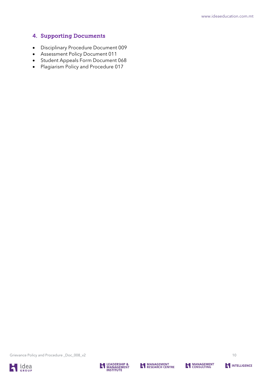## <span id="page-10-0"></span>4. Supporting Documents

- Disciplinary Procedure Document 009
- Assessment Policy Document 011
- Student Appeals Form Document 068
- Plagiarism Policy and Procedure 017

Grievance Policy and Procedure \_Doc\_008\_v2